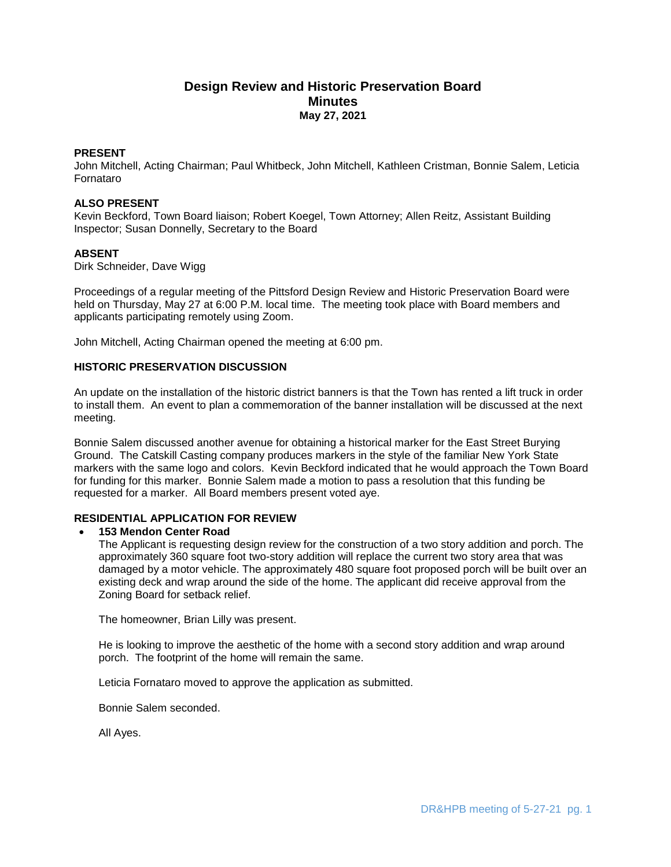# **Design Review and Historic Preservation Board Minutes May 27, 2021**

### **PRESENT**

John Mitchell, Acting Chairman; Paul Whitbeck, John Mitchell, Kathleen Cristman, Bonnie Salem, Leticia Fornataro

### **ALSO PRESENT**

Kevin Beckford, Town Board liaison; Robert Koegel, Town Attorney; Allen Reitz, Assistant Building Inspector; Susan Donnelly, Secretary to the Board

# **ABSENT**

Dirk Schneider, Dave Wigg

Proceedings of a regular meeting of the Pittsford Design Review and Historic Preservation Board were held on Thursday, May 27 at 6:00 P.M. local time. The meeting took place with Board members and applicants participating remotely using Zoom.

John Mitchell, Acting Chairman opened the meeting at 6:00 pm.

### **HISTORIC PRESERVATION DISCUSSION**

An update on the installation of the historic district banners is that the Town has rented a lift truck in order to install them. An event to plan a commemoration of the banner installation will be discussed at the next meeting.

Bonnie Salem discussed another avenue for obtaining a historical marker for the East Street Burying Ground. The Catskill Casting company produces markers in the style of the familiar New York State markers with the same logo and colors. Kevin Beckford indicated that he would approach the Town Board for funding for this marker. Bonnie Salem made a motion to pass a resolution that this funding be requested for a marker. All Board members present voted aye.

# **RESIDENTIAL APPLICATION FOR REVIEW**

### **153 Mendon Center Road**

The Applicant is requesting design review for the construction of a two story addition and porch. The approximately 360 square foot two-story addition will replace the current two story area that was damaged by a motor vehicle. The approximately 480 square foot proposed porch will be built over an existing deck and wrap around the side of the home. The applicant did receive approval from the Zoning Board for setback relief.

The homeowner, Brian Lilly was present.

He is looking to improve the aesthetic of the home with a second story addition and wrap around porch. The footprint of the home will remain the same.

Leticia Fornataro moved to approve the application as submitted.

Bonnie Salem seconded.

All Ayes.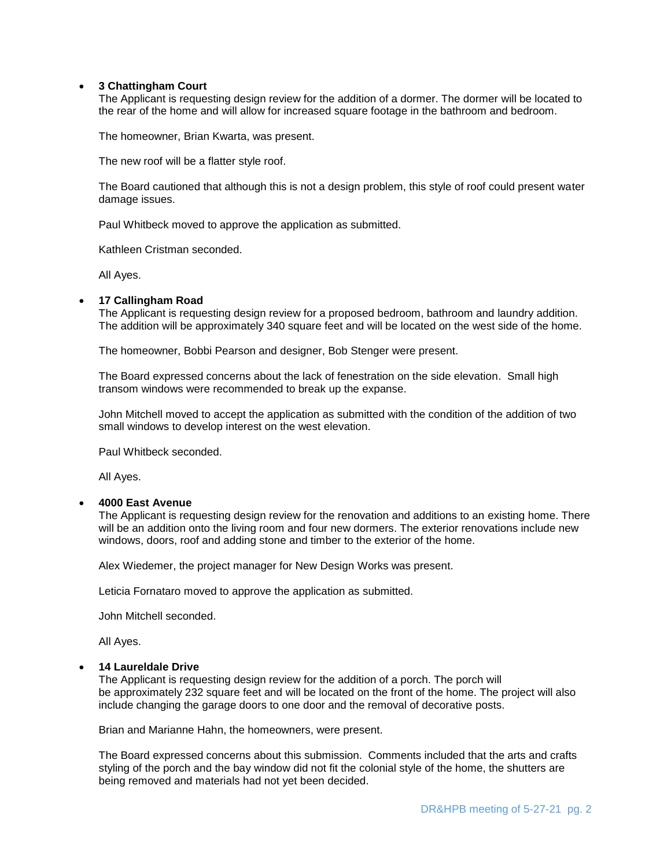### **3 Chattingham Court**

The Applicant is requesting design review for the addition of a dormer. The dormer will be located to the rear of the home and will allow for increased square footage in the bathroom and bedroom.

The homeowner, Brian Kwarta, was present.

The new roof will be a flatter style roof.

The Board cautioned that although this is not a design problem, this style of roof could present water damage issues.

Paul Whitbeck moved to approve the application as submitted.

Kathleen Cristman seconded.

All Ayes.

### **17 Callingham Road**

The Applicant is requesting design review for a proposed bedroom, bathroom and laundry addition. The addition will be approximately 340 square feet and will be located on the west side of the home.

The homeowner, Bobbi Pearson and designer, Bob Stenger were present.

The Board expressed concerns about the lack of fenestration on the side elevation. Small high transom windows were recommended to break up the expanse.

John Mitchell moved to accept the application as submitted with the condition of the addition of two small windows to develop interest on the west elevation.

Paul Whitbeck seconded.

All Ayes.

#### **4000 East Avenue**

The Applicant is requesting design review for the renovation and additions to an existing home. There will be an addition onto the living room and four new dormers. The exterior renovations include new windows, doors, roof and adding stone and timber to the exterior of the home.

Alex Wiedemer, the project manager for New Design Works was present.

Leticia Fornataro moved to approve the application as submitted.

John Mitchell seconded.

All Ayes.

#### **14 Laureldale Drive**

The Applicant is requesting design review for the addition of a porch. The porch will be approximately 232 square feet and will be located on the front of the home. The project will also include changing the garage doors to one door and the removal of decorative posts.

Brian and Marianne Hahn, the homeowners, were present.

The Board expressed concerns about this submission. Comments included that the arts and crafts styling of the porch and the bay window did not fit the colonial style of the home, the shutters are being removed and materials had not yet been decided.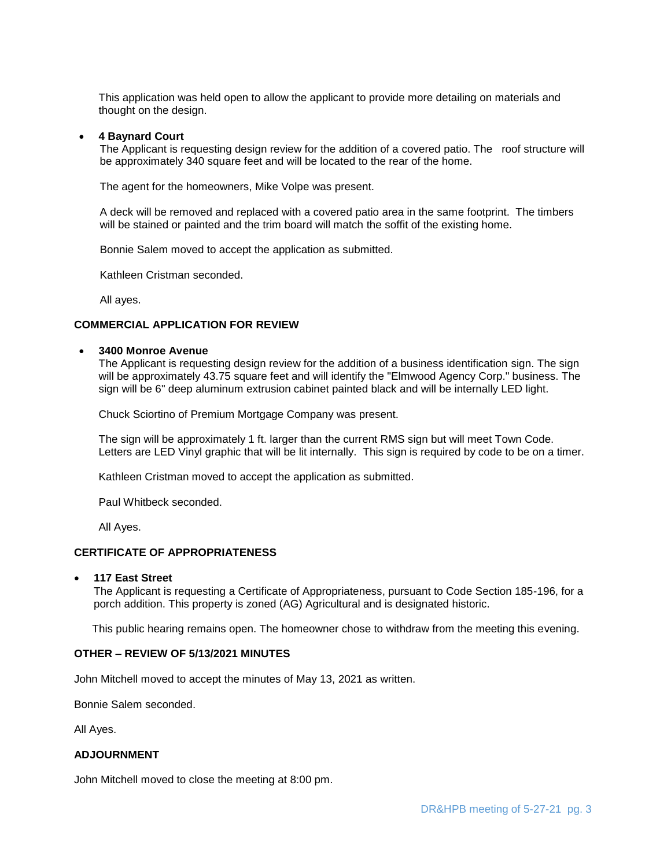This application was held open to allow the applicant to provide more detailing on materials and thought on the design.

#### **4 Baynard Court**

 The Applicant is requesting design review for the addition of a covered patio. The roof structure will be approximately 340 square feet and will be located to the rear of the home.

The agent for the homeowners, Mike Volpe was present.

 A deck will be removed and replaced with a covered patio area in the same footprint. The timbers will be stained or painted and the trim board will match the soffit of the existing home.

Bonnie Salem moved to accept the application as submitted.

Kathleen Cristman seconded.

All ayes.

# **COMMERCIAL APPLICATION FOR REVIEW**

#### **3400 Monroe Avenue**

The Applicant is requesting design review for the addition of a business identification sign. The sign will be approximately 43.75 square feet and will identify the "Elmwood Agency Corp." business. The sign will be 6" deep aluminum extrusion cabinet painted black and will be internally LED light.

Chuck Sciortino of Premium Mortgage Company was present.

The sign will be approximately 1 ft. larger than the current RMS sign but will meet Town Code. Letters are LED Vinyl graphic that will be lit internally. This sign is required by code to be on a timer.

Kathleen Cristman moved to accept the application as submitted.

Paul Whitbeck seconded.

All Ayes.

### **CERTIFICATE OF APPROPRIATENESS**

#### **117 East Street**

The Applicant is requesting a Certificate of Appropriateness, pursuant to Code Section 185-196, for a porch addition. This property is zoned (AG) Agricultural and is designated historic.

This public hearing remains open. The homeowner chose to withdraw from the meeting this evening.

### **OTHER – REVIEW OF 5/13/2021 MINUTES**

John Mitchell moved to accept the minutes of May 13, 2021 as written.

Bonnie Salem seconded.

All Ayes.

### **ADJOURNMENT**

John Mitchell moved to close the meeting at 8:00 pm.